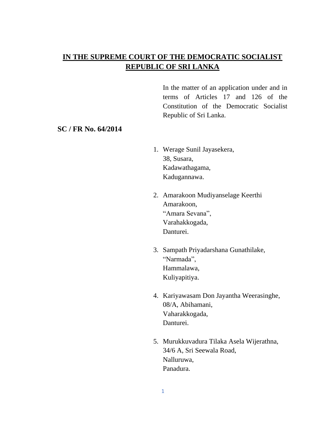# **IN THE SUPREME COURT OF THE DEMOCRATIC SOCIALIST REPUBLIC OF SRI LANKA**

In the matter of an application under and in terms of Articles 17 and 126 of the Constitution of the Democratic Socialist Republic of Sri Lanka.

### **SC / FR No. 64/2014**

- 1. Werage Sunil Jayasekera, 38, Susara, Kadawathagama, Kadugannawa.
- 2. Amarakoon Mudiyanselage Keerthi Amarakoon, "Amara Sevana", Varahakkogada, Danturei.
- 3. Sampath Priyadarshana Gunathilake, "Narmada", Hammalawa, Kuliyapitiya.
- 4. Kariyawasam Don Jayantha Weerasinghe, 08/A, Abihamani, Vaharakkogada, Danturei.
- 5. Murukkuvadura Tilaka Asela Wijerathna, 34/6 A, Sri Seewala Road, Nalluruwa, Panadura.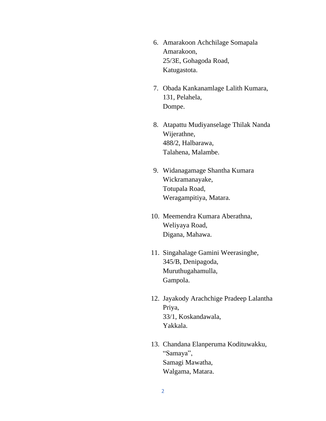- 6. Amarakoon Achchilage Somapala Amarakoon, 25/3E, Gohagoda Road, Katugastota.
- 7. Obada Kankanamlage Lalith Kumara, 131, Pelahela, Dompe.
- 8. Atapattu Mudiyanselage Thilak Nanda Wijerathne, 488/2, Halbarawa, Talahena, Malambe.
- 9. Widanagamage Shantha Kumara Wickramanayake, Totupala Road, Weragampitiya, Matara.
- 10. Meemendra Kumara Aberathna, Weliyaya Road, Digana, Mahawa.
- 11. Singahalage Gamini Weerasinghe, 345/B, Denipagoda, Muruthugahamulla, Gampola.
- 12. Jayakody Arachchige Pradeep Lalantha Priya, 33/1, Koskandawala, Yakkala.
- 13. Chandana Elanperuma Kodituwakku, "Samaya", Samagi Mawatha, Walgama, Matara.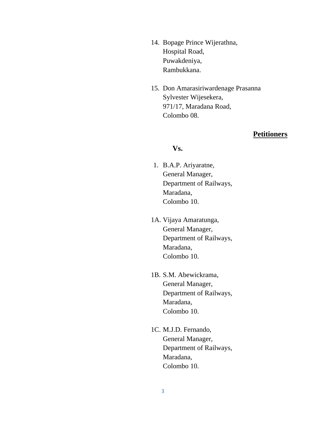- 14. Bopage Prince Wijerathna, Hospital Road, Puwakdeniya, Rambukkana.
- 15. Don Amarasiriwardenage Prasanna Sylvester Wijesekera, 971/17, Maradana Road, Colombo 08.

## **Petitioners**

### **Vs.**

- 1. B.A.P. Ariyaratne, General Manager, Department of Railways, Maradana, Colombo 10.
- 1A. Vijaya Amaratunga, General Manager, Department of Railways, Maradana, Colombo 10.
- 1B. S.M. Abewickrama, General Manager, Department of Railways, Maradana, Colombo 10.
- 1C. M.J.D. Fernando, General Manager, Department of Railways, Maradana, Colombo 10.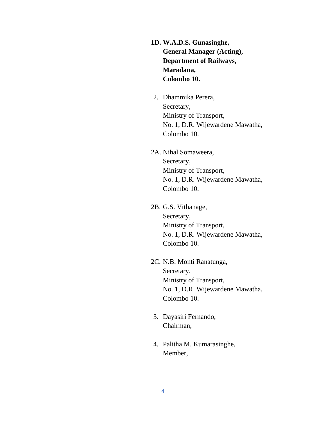- **1D. W.A.D.S. Gunasinghe, General Manager (Acting), Department of Railways, Maradana, Colombo 10.**
- 2. Dhammika Perera, Secretary, Ministry of Transport, No. 1, D.R. Wijewardene Mawatha, Colombo 10.
- 2A. Nihal Somaweera, Secretary, Ministry of Transport, No. 1, D.R. Wijewardene Mawatha, Colombo 10.
- 2B. G.S. Vithanage, Secretary, Ministry of Transport, No. 1, D.R. Wijewardene Mawatha, Colombo 10.
- 2C. N.B. Monti Ranatunga, Secretary, Ministry of Transport, No. 1, D.R. Wijewardene Mawatha, Colombo 10.
- 3. Dayasiri Fernando, Chairman,
- 4. Palitha M. Kumarasinghe, Member,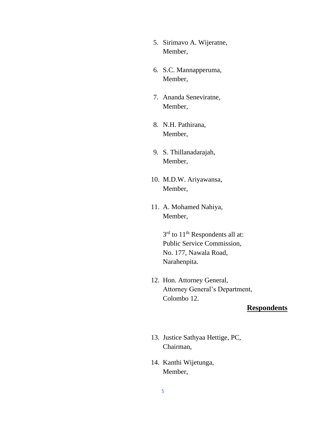- 5. Sirimavo A. Wijeratne, Member,
- 6. S.C. Mannapperuma, Member,
- 7. Ananda Seneviratne, Member,
- 8. N.H. Pathirana, Member,
- 9. S. Thillanadarajah, Member,
- 10. M.D.W. Ariyawansa, Member,
- 11. A. Mohamed Nahiya, Member,

3<sup>rd</sup> to 11<sup>th</sup> Respondents all at: Public Service Commission, No. 177, Nawala Road, Narahenpita.

12. Hon. Attorney General, Attorney General's Department, Colombo 12.

## **Respondents**

- 13. Justice Sathyaa Hettige, PC, Chairman,
- 14. Kanthi Wijetunga, Member,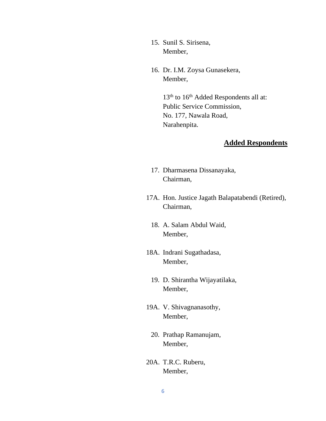- 15. Sunil S. Sirisena, Member,
- 16. Dr. I.M. Zoysa Gunasekera, Member,

13<sup>th</sup> to 16<sup>th</sup> Added Respondents all at: Public Service Commission, No. 177, Nawala Road, Narahenpita.

# **Added Respondents**

- 17. Dharmasena Dissanayaka, Chairman,
- 17A. Hon. Justice Jagath Balapatabendi (Retired), Chairman,
	- 18. A. Salam Abdul Waid, Member,
- 18A. Indrani Sugathadasa, Member,
	- 19. D. Shirantha Wijayatilaka, Member,
- 19A. V. Shivagnanasothy, Member,
	- 20. Prathap Ramanujam, Member,
- 20A. T.R.C. Ruberu, Member,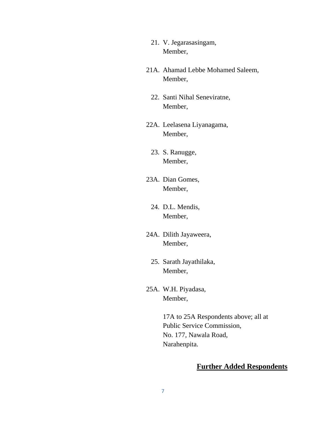- 21. V. Jegarasasingam, Member,
- 21A. Ahamad Lebbe Mohamed Saleem, Member,
	- 22. Santi Nihal Seneviratne, Member,
- 22A. Leelasena Liyanagama, Member,
	- 23. S. Ranugge, Member,
- 23A. Dian Gomes, Member,
	- 24. D.L. Mendis, Member,
- 24A. Dilith Jayaweera, Member,
	- 25. Sarath Jayathilaka, Member,
- 25A. W.H. Piyadasa, Member,

17A to 25A Respondents above; all at Public Service Commission, No. 177, Nawala Road, Narahenpita.

# **Further Added Respondents**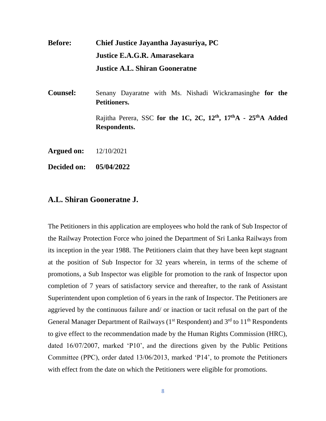**Before: Chief Justice Jayantha Jayasuriya, PC Justice E.A.G.R. Amarasekara Justice A.L. Shiran Gooneratne**

**Counsel:** Senany Dayaratne with Ms. Nishadi Wickramasinghe **for the Petitioners.** Rajitha Perera, SSC **for the 1C, 2C, 12th, 17thA - 25thA Added Respondents.**

**Argued on:** 12/10/2021

**Decided on: 05/04/2022**

### **A.L. Shiran Gooneratne J.**

The Petitioners in this application are employees who hold the rank of Sub Inspector of the Railway Protection Force who joined the Department of Sri Lanka Railways from its inception in the year 1988. The Petitioners claim that they have been kept stagnant at the position of Sub Inspector for 32 years wherein, in terms of the scheme of promotions, a Sub Inspector was eligible for promotion to the rank of Inspector upon completion of 7 years of satisfactory service and thereafter, to the rank of Assistant Superintendent upon completion of 6 years in the rank of Inspector. The Petitioners are aggrieved by the continuous failure and/ or inaction or tacit refusal on the part of the General Manager Department of Railways ( $1<sup>st</sup>$  Respondent) and  $3<sup>rd</sup>$  to  $11<sup>th</sup>$  Respondents to give effect to the recommendation made by the Human Rights Commission (HRC), dated 16/07/2007, marked 'P10', and the directions given by the Public Petitions Committee (PPC), order dated 13/06/2013, marked 'P14', to promote the Petitioners with effect from the date on which the Petitioners were eligible for promotions.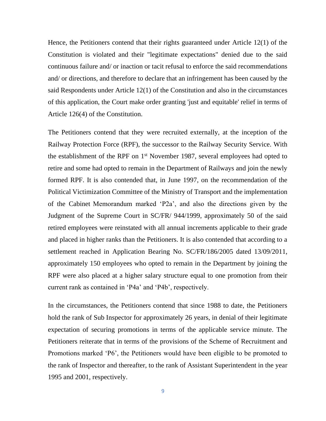Hence, the Petitioners contend that their rights guaranteed under Article 12(1) of the Constitution is violated and their "legitimate expectations" denied due to the said continuous failure and/ or inaction or tacit refusal to enforce the said recommendations and/ or directions, and therefore to declare that an infringement has been caused by the said Respondents under Article 12(1) of the Constitution and also in the circumstances of this application, the Court make order granting 'just and equitable' relief in terms of Article 126(4) of the Constitution.

The Petitioners contend that they were recruited externally, at the inception of the Railway Protection Force (RPF), the successor to the Railway Security Service. With the establishment of the RPF on 1<sup>st</sup> November 1987, several employees had opted to retire and some had opted to remain in the Department of Railways and join the newly formed RPF. It is also contended that, in June 1997, on the recommendation of the Political Victimization Committee of the Ministry of Transport and the implementation of the Cabinet Memorandum marked 'P2a', and also the directions given by the Judgment of the Supreme Court in SC/FR/ 944/1999, approximately 50 of the said retired employees were reinstated with all annual increments applicable to their grade and placed in higher ranks than the Petitioners. It is also contended that according to a settlement reached in Application Bearing No. SC/FR/186/2005 dated 13/09/2011, approximately 150 employees who opted to remain in the Department by joining the RPF were also placed at a higher salary structure equal to one promotion from their current rank as contained in 'P4a' and 'P4b', respectively.

In the circumstances, the Petitioners contend that since 1988 to date, the Petitioners hold the rank of Sub Inspector for approximately 26 years, in denial of their legitimate expectation of securing promotions in terms of the applicable service minute. The Petitioners reiterate that in terms of the provisions of the Scheme of Recruitment and Promotions marked 'P6', the Petitioners would have been eligible to be promoted to the rank of Inspector and thereafter, to the rank of Assistant Superintendent in the year 1995 and 2001, respectively.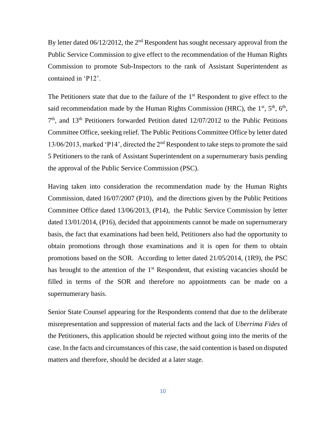By letter dated  $06/12/2012$ , the  $2<sup>nd</sup>$  Respondent has sought necessary approval from the Public Service Commission to give effect to the recommendation of the Human Rights Commission to promote Sub-Inspectors to the rank of Assistant Superintendent as contained in 'P12'.

The Petitioners state that due to the failure of the  $1<sup>st</sup>$  Respondent to give effect to the said recommendation made by the Human Rights Commission (HRC), the  $1<sup>st</sup>$ ,  $5<sup>th</sup>$ ,  $6<sup>th</sup>$ , 7 th, and 13th Petitioners forwarded Petition dated 12/07/2012 to the Public Petitions Committee Office, seeking relief. The Public Petitions Committee Office by letter dated 13/06/2013, marked 'P14', directed the 2nd Respondent to take steps to promote the said 5 Petitioners to the rank of Assistant Superintendent on a supernumerary basis pending the approval of the Public Service Commission (PSC).

Having taken into consideration the recommendation made by the Human Rights Commission, dated 16/07/2007 (P10), and the directions given by the Public Petitions Committee Office dated 13/06/2013, (P14), the Public Service Commission by letter dated 13/01/2014, (P16), decided that appointments cannot be made on supernumerary basis, the fact that examinations had been held, Petitioners also had the opportunity to obtain promotions through those examinations and it is open for them to obtain promotions based on the SOR. According to letter dated 21/05/2014, (1R9), the PSC has brought to the attention of the  $1<sup>st</sup>$  Respondent, that existing vacancies should be filled in terms of the SOR and therefore no appointments can be made on a supernumerary basis.

Senior State Counsel appearing for the Respondents contend that due to the deliberate misrepresentation and suppression of material facts and the lack of *Uberrima Fides* of the Petitioners, this application should be rejected without going into the merits of the case. In the facts and circumstances of this case, the said contention is based on disputed matters and therefore, should be decided at a later stage.

10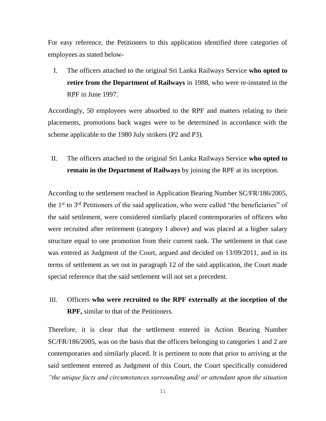For easy reference, the Petitioners to this application identified three categories of employees as stated below-

I. The officers attached to the original Sri Lanka Railways Service **who opted to retire from the Department of Railways** in 1988, who were re-instated in the RPF in June 1997.

Accordingly, 50 employees were absorbed to the RPF and matters relating to their placements, promotions back wages were to be determined in accordance with the scheme applicable to the 1980 July strikers (P2 and P3).

II. The officers attached to the original Sri Lanka Railways Service **who opted to remain in the Department of Railways** by joining the RPF at its inception.

According to the settlement reached in Application Bearing Number SC/FR/186/2005, the 1st to 3rd Petitioners of the said application, who were called "the beneficiaries" of the said settlement, were considered similarly placed contemporaries of officers who were recruited after retirement (category I above) and was placed at a higher salary structure equal to one promotion from their current rank. The settlement in that case was entered as Judgment of the Court, argued and decided on 13/09/2011, and in its terms of settlement as set out in paragraph 12 of the said application, the Court made special reference that the said settlement will not set a precedent.

# III. Officers **who were recruited to the RPF externally at the inception of the RPF,** similar to that of the Petitioners.

Therefore, it is clear that the settlement entered in Action Bearing Number SC/FR/186/2005, was on the basis that the officers belonging to categories 1 and 2 are contemporaries and similarly placed. It is pertinent to note that prior to arriving at the said settlement entered as Judgment of this Court, the Court specifically considered *"the unique facts and circumstances surrounding and/ or attendant upon the situation*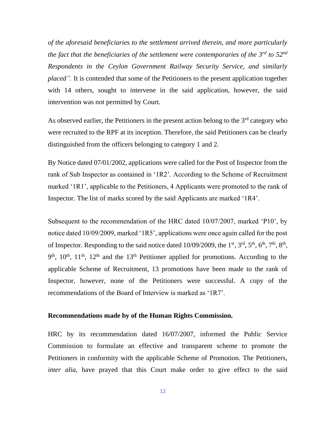*of the aforesaid beneficiaries to the settlement arrived therein, and more particularly the fact that the beneficiaries of the settlement were contemporaries of the 3rd to 52nd Respondents in the Ceylon Government Railway Security Service, and similarly placed".* It is contended that some of the Petitioners to the present application together with 14 others, sought to intervene in the said application, however, the said intervention was not permitted by Court.

As observed earlier, the Petitioners in the present action belong to the 3<sup>rd</sup> category who were recruited to the RPF at its inception. Therefore, the said Petitioners can be clearly distinguished from the officers belonging to category 1 and 2.

By Notice dated 07/01/2002, applications were called for the Post of Inspector from the rank of Sub Inspector as contained in '1R2'. According to the Scheme of Recruitment marked '1R1', applicable to the Petitioners, 4 Applicants were promoted to the rank of Inspector. The list of marks scored by the said Applicants are marked '1R4'.

Subsequent to the recommendation of the HRC dated 10/07/2007, marked 'P10', by notice dated 10/09/2009, marked '1R5', applications were once again called for the post of Inspector. Responding to the said notice dated  $10/09/2009$ , the 1<sup>st</sup>, 3<sup>rd</sup>, 5<sup>th</sup>, 6<sup>th</sup>, 7<sup>th</sup>, 8<sup>th</sup>,  $9<sup>th</sup>$ ,  $10<sup>th</sup>$ ,  $11<sup>th</sup>$ ,  $12<sup>th</sup>$  and the  $13<sup>th</sup>$  Petitioner applied for promotions. According to the applicable Scheme of Recruitment, 13 promotions have been made to the rank of Inspector, however, none of the Petitioners were successful. A copy of the recommendations of the Board of Interview is marked as '1R7'.

#### **Recommendations made by of the Human Rights Commission.**

HRC by its recommendation dated 16/07/2007, informed the Public Service Commission to formulate an effective and transparent scheme to promote the Petitioners in conformity with the applicable Scheme of Promotion. The Petitioners, *inter alia*, have prayed that this Court make order to give effect to the said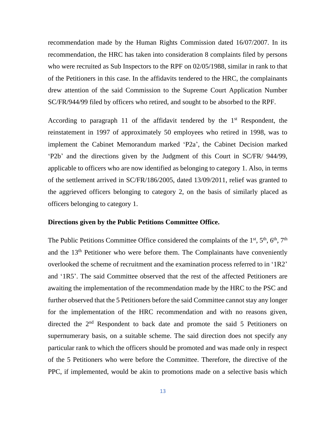recommendation made by the Human Rights Commission dated 16/07/2007. In its recommendation, the HRC has taken into consideration 8 complaints filed by persons who were recruited as Sub Inspectors to the RPF on 02/05/1988, similar in rank to that of the Petitioners in this case. In the affidavits tendered to the HRC, the complainants drew attention of the said Commission to the Supreme Court Application Number SC/FR/944/99 filed by officers who retired, and sought to be absorbed to the RPF.

According to paragraph 11 of the affidavit tendered by the  $1<sup>st</sup>$  Respondent, the reinstatement in 1997 of approximately 50 employees who retired in 1998, was to implement the Cabinet Memorandum marked 'P2a', the Cabinet Decision marked 'P2b' and the directions given by the Judgment of this Court in SC/FR/ 944/99, applicable to officers who are now identified as belonging to category 1. Also, in terms of the settlement arrived in SC/FR/186/2005, dated 13/09/2011, relief was granted to the aggrieved officers belonging to category 2, on the basis of similarly placed as officers belonging to category 1.

#### **Directions given by the Public Petitions Committee Office.**

The Public Petitions Committee Office considered the complaints of the 1<sup>st</sup>, 5<sup>th</sup>, 6<sup>th</sup>, 7<sup>th</sup> and the 13th Petitioner who were before them. The Complainants have conveniently overlooked the scheme of recruitment and the examination process referred to in '1R2' and '1R5'. The said Committee observed that the rest of the affected Petitioners are awaiting the implementation of the recommendation made by the HRC to the PSC and further observed that the 5 Petitioners before the said Committee cannot stay any longer for the implementation of the HRC recommendation and with no reasons given, directed the 2nd Respondent to back date and promote the said 5 Petitioners on supernumerary basis, on a suitable scheme. The said direction does not specify any particular rank to which the officers should be promoted and was made only in respect of the 5 Petitioners who were before the Committee. Therefore, the directive of the PPC, if implemented, would be akin to promotions made on a selective basis which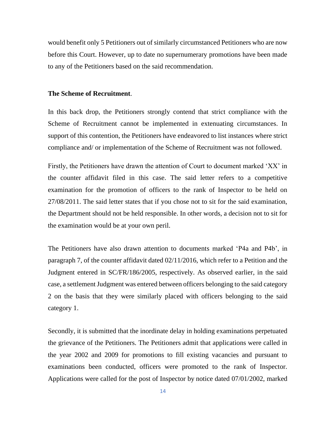would benefit only 5 Petitioners out of similarly circumstanced Petitioners who are now before this Court. However, up to date no supernumerary promotions have been made to any of the Petitioners based on the said recommendation.

### **The Scheme of Recruitment**.

In this back drop, the Petitioners strongly contend that strict compliance with the Scheme of Recruitment cannot be implemented in extenuating circumstances. In support of this contention, the Petitioners have endeavored to list instances where strict compliance and/ or implementation of the Scheme of Recruitment was not followed.

Firstly, the Petitioners have drawn the attention of Court to document marked 'XX' in the counter affidavit filed in this case. The said letter refers to a competitive examination for the promotion of officers to the rank of Inspector to be held on 27/08/2011. The said letter states that if you chose not to sit for the said examination, the Department should not be held responsible. In other words, a decision not to sit for the examination would be at your own peril.

The Petitioners have also drawn attention to documents marked 'P4a and P4b', in paragraph 7, of the counter affidavit dated 02/11/2016, which refer to a Petition and the Judgment entered in SC/FR/186/2005, respectively. As observed earlier, in the said case, a settlement Judgment was entered between officers belonging to the said category 2 on the basis that they were similarly placed with officers belonging to the said category 1.

Secondly, it is submitted that the inordinate delay in holding examinations perpetuated the grievance of the Petitioners. The Petitioners admit that applications were called in the year 2002 and 2009 for promotions to fill existing vacancies and pursuant to examinations been conducted, officers were promoted to the rank of Inspector. Applications were called for the post of Inspector by notice dated 07/01/2002, marked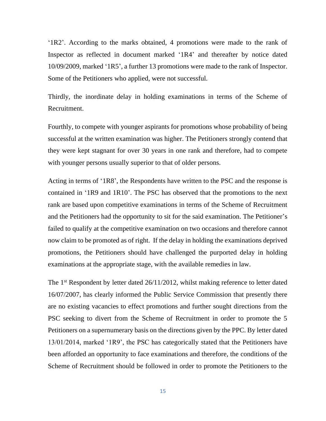'1R2'. According to the marks obtained, 4 promotions were made to the rank of Inspector as reflected in document marked '1R4' and thereafter by notice dated 10/09/2009, marked '1R5', a further 13 promotions were made to the rank of Inspector. Some of the Petitioners who applied, were not successful.

Thirdly, the inordinate delay in holding examinations in terms of the Scheme of Recruitment.

Fourthly, to compete with younger aspirants for promotions whose probability of being successful at the written examination was higher. The Petitioners strongly contend that they were kept stagnant for over 30 years in one rank and therefore, had to compete with younger persons usually superior to that of older persons.

Acting in terms of '1R8', the Respondents have written to the PSC and the response is contained in '1R9 and 1R10'. The PSC has observed that the promotions to the next rank are based upon competitive examinations in terms of the Scheme of Recruitment and the Petitioners had the opportunity to sit for the said examination. The Petitioner's failed to qualify at the competitive examination on two occasions and therefore cannot now claim to be promoted as of right. If the delay in holding the examinations deprived promotions, the Petitioners should have challenged the purported delay in holding examinations at the appropriate stage, with the available remedies in law.

The 1<sup>st</sup> Respondent by letter dated 26/11/2012, whilst making reference to letter dated 16/07/2007, has clearly informed the Public Service Commission that presently there are no existing vacancies to effect promotions and further sought directions from the PSC seeking to divert from the Scheme of Recruitment in order to promote the 5 Petitioners on a supernumerary basis on the directions given by the PPC. By letter dated 13/01/2014, marked '1R9', the PSC has categorically stated that the Petitioners have been afforded an opportunity to face examinations and therefore, the conditions of the Scheme of Recruitment should be followed in order to promote the Petitioners to the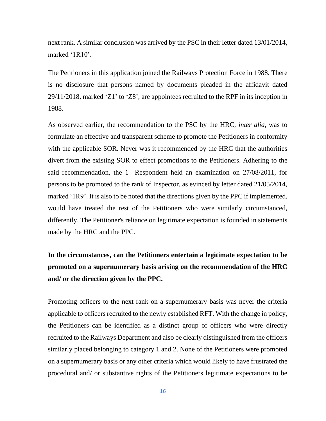next rank. A similar conclusion was arrived by the PSC in their letter dated 13/01/2014, marked '1R10'.

The Petitioners in this application joined the Railways Protection Force in 1988. There is no disclosure that persons named by documents pleaded in the affidavit dated 29/11/2018, marked 'Z1' to 'Z8', are appointees recruited to the RPF in its inception in 1988.

As observed earlier, the recommendation to the PSC by the HRC, *inter alia*, was to formulate an effective and transparent scheme to promote the Petitioners in conformity with the applicable SOR. Never was it recommended by the HRC that the authorities divert from the existing SOR to effect promotions to the Petitioners. Adhering to the said recommendation, the  $1<sup>st</sup>$  Respondent held an examination on  $27/08/2011$ , for persons to be promoted to the rank of Inspector, as evinced by letter dated 21/05/2014, marked '1R9'. It is also to be noted that the directions given by the PPC if implemented, would have treated the rest of the Petitioners who were similarly circumstanced, differently. The Petitioner's reliance on legitimate expectation is founded in statements made by the HRC and the PPC.

**In the circumstances, can the Petitioners entertain a legitimate expectation to be promoted on a supernumerary basis arising on the recommendation of the HRC and/ or the direction given by the PPC.** 

Promoting officers to the next rank on a supernumerary basis was never the criteria applicable to officers recruited to the newly established RFT. With the change in policy, the Petitioners can be identified as a distinct group of officers who were directly recruited to the Railways Department and also be clearly distinguished from the officers similarly placed belonging to category 1 and 2. None of the Petitioners were promoted on a supernumerary basis or any other criteria which would likely to have frustrated the procedural and/ or substantive rights of the Petitioners legitimate expectations to be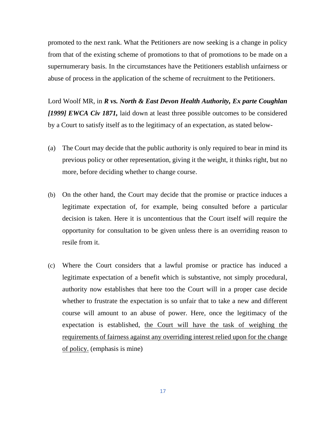promoted to the next rank. What the Petitioners are now seeking is a change in policy from that of the existing scheme of promotions to that of promotions to be made on a supernumerary basis. In the circumstances have the Petitioners establish unfairness or abuse of process in the application of the scheme of recruitment to the Petitioners.

Lord Woolf MR, in *R vs. North & East Devon Health Authority, Ex parte Coughlan [1999] EWCA Civ 1871,* laid down at least three possible outcomes to be considered by a Court to satisfy itself as to the legitimacy of an expectation, as stated below-

- (a) The Court may decide that the public authority is only required to bear in mind its previous policy or other representation, giving it the weight, it thinks right, but no more, before deciding whether to change course.
- (b) On the other hand, the Court may decide that the promise or practice induces a legitimate expectation of, for example, being consulted before a particular decision is taken. Here it is uncontentious that the Court itself will require the opportunity for consultation to be given unless there is an overriding reason to resile from it.
- (c) Where the Court considers that a lawful promise or practice has induced a legitimate expectation of a benefit which is substantive, not simply procedural, authority now establishes that here too the Court will in a proper case decide whether to frustrate the expectation is so unfair that to take a new and different course will amount to an abuse of power. Here, once the legitimacy of the expectation is established, the Court will have the task of weighing the requirements of fairness against any overriding interest relied upon for the change of policy. (emphasis is mine)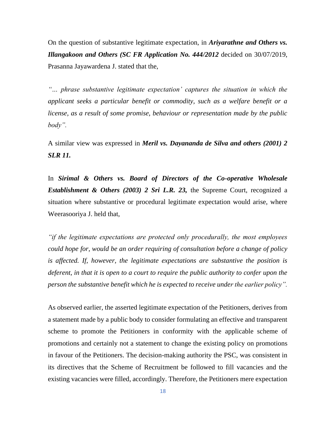On the question of substantive legitimate expectation, in *Ariyarathne and Others vs. Illangakoon and Others (SC FR Application No. 444/2012* decided on 30/07/2019, Prasanna Jayawardena J. stated that the,

*"… phrase substantive legitimate expectation' captures the situation in which the applicant seeks a particular benefit or commodity, such as a welfare benefit or a license, as a result of some promise, behaviour or representation made by the public body".* 

A similar view was expressed in *Meril vs. Dayananda de Silva and others (2001) 2 SLR 11.*

In *Sirimal & Others vs. Board of Directors of the Co-operative Wholesale Establishment & Others (2003) 2 Sri L.R. 23,* the Supreme Court, recognized a situation where substantive or procedural legitimate expectation would arise, where Weerasooriya J. held that,

*"if the legitimate expectations are protected only procedurally, the most employees could hope for, would be an order requiring of consultation before a change of policy is affected. If, however, the legitimate expectations are substantive the position is deferent, in that it is open to a court to require the public authority to confer upon the person the substantive benefit which he is expected to receive under the earlier policy".* 

As observed earlier, the asserted legitimate expectation of the Petitioners, derives from a statement made by a public body to consider formulating an effective and transparent scheme to promote the Petitioners in conformity with the applicable scheme of promotions and certainly not a statement to change the existing policy on promotions in favour of the Petitioners. The decision-making authority the PSC, was consistent in its directives that the Scheme of Recruitment be followed to fill vacancies and the existing vacancies were filled, accordingly. Therefore, the Petitioners mere expectation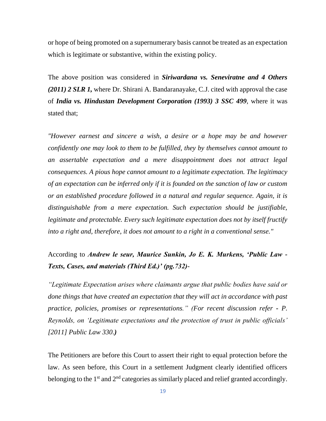or hope of being promoted on a supernumerary basis cannot be treated as an expectation which is legitimate or substantive, within the existing policy.

The above position was considered in *Siriwardana vs. Seneviratne and 4 Others (2011) 2 SLR 1,* where Dr. Shirani A. Bandaranayake, C.J. cited with approval the case of *India vs. Hindustan Development Corporation (1993) 3 SSC 499*, where it was stated that;

*"However earnest and sincere a wish, a desire or a hope may be and however confidently one may look to them to be fulfilled, they by themselves cannot amount to an assertable expectation and a mere disappointment does not attract legal consequences. A pious hope cannot amount to a legitimate expectation. The legitimacy of an expectation can be inferred only if it is founded on the sanction of law or custom or an established procedure followed in a natural and regular sequence. Again, it is distinguishable from a mere expectation. Such expectation should be justifiable, legitimate and protectable. Every such legitimate expectation does not by itself fructify into a right and, therefore, it does not amount to a right in a conventional sense."*

According to *Andrew le seur, Maurice Sunkin, Jo E. K. Murkens, 'Public Law - Texts, Cases, and materials (Third Ed.)' (pg.732)-*

*"Legitimate Expectation arises where claimants argue that public bodies have said or done things that have created an expectation that they will act in accordance with past practice, policies, promises or representations." (For recent discussion refer - P. Reynolds, on 'Legitimate expectations and the protection of trust in public officials' [2011] Public Law 330.)*

The Petitioners are before this Court to assert their right to equal protection before the law. As seen before, this Court in a settlement Judgment clearly identified officers belonging to the  $1<sup>st</sup>$  and  $2<sup>nd</sup>$  categories as similarly placed and relief granted accordingly.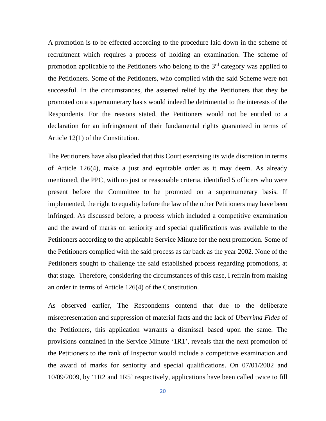A promotion is to be effected according to the procedure laid down in the scheme of recruitment which requires a process of holding an examination. The scheme of promotion applicable to the Petitioners who belong to the 3rd category was applied to the Petitioners. Some of the Petitioners, who complied with the said Scheme were not successful. In the circumstances, the asserted relief by the Petitioners that they be promoted on a supernumerary basis would indeed be detrimental to the interests of the Respondents. For the reasons stated, the Petitioners would not be entitled to a declaration for an infringement of their fundamental rights guaranteed in terms of Article 12(1) of the Constitution.

The Petitioners have also pleaded that this Court exercising its wide discretion in terms of Article 126(4), make a just and equitable order as it may deem. As already mentioned, the PPC, with no just or reasonable criteria, identified 5 officers who were present before the Committee to be promoted on a supernumerary basis. If implemented, the right to equality before the law of the other Petitioners may have been infringed. As discussed before, a process which included a competitive examination and the award of marks on seniority and special qualifications was available to the Petitioners according to the applicable Service Minute for the next promotion. Some of the Petitioners complied with the said process as far back as the year 2002. None of the Petitioners sought to challenge the said established process regarding promotions, at that stage. Therefore, considering the circumstances of this case, I refrain from making an order in terms of Article 126(4) of the Constitution.

As observed earlier, The Respondents contend that due to the deliberate misrepresentation and suppression of material facts and the lack of *Uberrima Fides* of the Petitioners, this application warrants a dismissal based upon the same. The provisions contained in the Service Minute '1R1', reveals that the next promotion of the Petitioners to the rank of Inspector would include a competitive examination and the award of marks for seniority and special qualifications. On 07/01/2002 and 10/09/2009, by '1R2 and 1R5' respectively, applications have been called twice to fill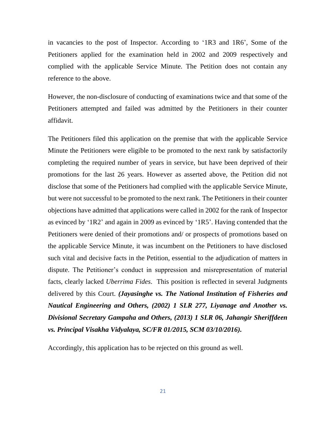in vacancies to the post of Inspector. According to '1R3 and 1R6', Some of the Petitioners applied for the examination held in 2002 and 2009 respectively and complied with the applicable Service Minute. The Petition does not contain any reference to the above.

However, the non-disclosure of conducting of examinations twice and that some of the Petitioners attempted and failed was admitted by the Petitioners in their counter affidavit.

The Petitioners filed this application on the premise that with the applicable Service Minute the Petitioners were eligible to be promoted to the next rank by satisfactorily completing the required number of years in service, but have been deprived of their promotions for the last 26 years. However as asserted above, the Petition did not disclose that some of the Petitioners had complied with the applicable Service Minute, but were not successful to be promoted to the next rank. The Petitioners in their counter objections have admitted that applications were called in 2002 for the rank of Inspector as evinced by '1R2' and again in 2009 as evinced by '1R5'. Having contended that the Petitioners were denied of their promotions and/ or prospects of promotions based on the applicable Service Minute, it was incumbent on the Petitioners to have disclosed such vital and decisive facts in the Petition, essential to the adjudication of matters in dispute. The Petitioner's conduct in suppression and misrepresentation of material facts, clearly lacked *Uberrima Fides*. This position is reflected in several Judgments delivered by this Court. *(Jayasinghe vs. The National Institution of Fisheries and Nautical Engineering and Others, (2002) 1 SLR 277, Liyanage and Another vs. Divisional Secretary Gampaha and Others, (2013) 1 SLR 06, Jahangir Sheriffdeen vs. Principal Visakha Vidyalaya, SC/FR 01/2015, SCM 03/10/2016).*

Accordingly, this application has to be rejected on this ground as well.